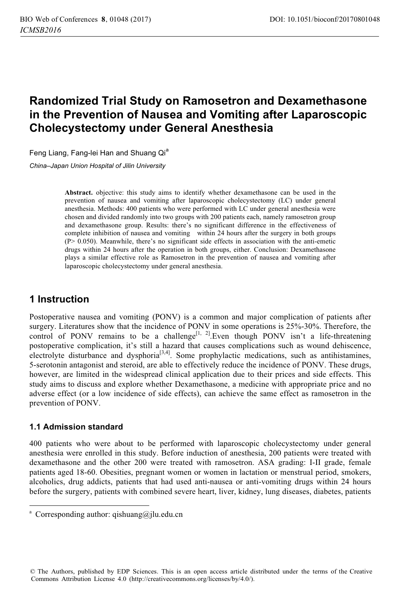# **Randomized Trial Study on Ramosetron and Dexamethasone in the Prevention of Nausea and Vomiting after Laparoscopic Cholecystectomy under General Anesthesia**

Feng Liang, Fang-lei Han and Shuang Qi<sup>a</sup>

*China–Japan Union Hospital of Jilin University*

**Abstract.** objective: this study aims to identify whether dexamethasone can be used in the prevention of nausea and vomiting after laparoscopic cholecystectomy (LC) under general anesthesia. Methods: 400 patients who were performed with LC under general anesthesia were chosen and divided randomly into two groups with 200 patients each, namely ramosetron group and dexamethasone group. Results: there's no significant difference in the effectiveness of complete inhibition of nausea and vomiting within 24 hours after the surgery in both groups (P> 0.050). Meanwhile, there's no significant side effects in association with the anti-emetic drugs within 24 hours after the operation in both groups, either. Conclusion: Dexamethasone plays a similar effective role as Ramosetron in the prevention of nausea and vomiting after laparoscopic cholecystectomy under general anesthesia.

## **1 Instruction**

Postoperative nausea and vomiting (PONV) is a common and major complication of patients after surgery. Literatures show that the incidence of PONV in some operations is 25%-30%. Therefore, the control of PONV remains to be a challenge<sup>[1, 2]</sup>.Even though PONV isn't a life-threatening postoperative complication, it's still a hazard that causes complications such as wound dehiscence, electrolyte disturbance and dysphoria<sup>[3,4]</sup>. Some prophylactic medications, such as antihistamines, 5-serotonin antagonist and steroid, are able to effectively reduce the incidence of PONV. These drugs, however, are limited in the widespread clinical application due to their prices and side effects. This study aims to discuss and explore whether Dexamethasone, a medicine with appropriate price and no adverse effect (or a low incidence of side effects), can achieve the same effect as ramosetron in the prevention of PONV.

#### **1.1 Admission standard**

-

400 patients who were about to be performed with laparoscopic cholecystectomy under general anesthesia were enrolled in this study. Before induction of anesthesia, 200 patients were treated with dexamethasone and the other 200 were treated with ramosetron. ASA grading: I-II grade, female patients aged 18-60. Obesities, pregnant women or women in lactation or menstrual period, smokers, alcoholics, drug addicts, patients that had used anti-nausea or anti-vomiting drugs within 24 hours before the surgery, patients with combined severe heart, liver, kidney, lung diseases, diabetes, patients

<sup>&</sup>lt;sup>a</sup> Corresponding author: qishuang@jlu.edu.cn

<sup>©</sup> The Authors, published by EDP Sciences. This is an open access article distributed under the terms of the Creative Commons Attribution License 4.0 (http://creativecommons.org/licenses/by/4.0/).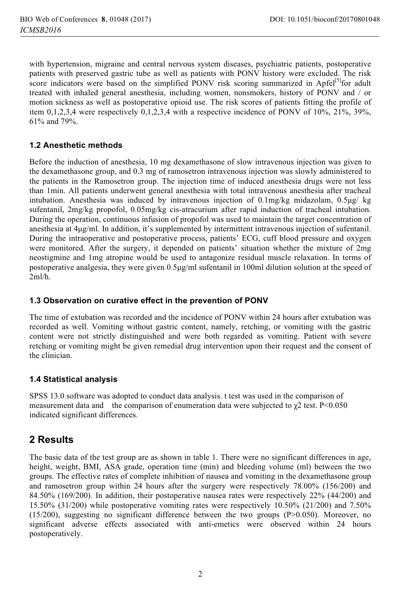with hypertension, migraine and central nervous system diseases, psychiatric patients, postoperative patients with preserved gastric tube as well as patients with PONV history were excluded. The risk score indicators were based on the simplified PONV risk scoring summarized in Apfel<sup>[5]</sup>for adult treated with inhaled general anesthesia, including women, nonsmokers, history of PONV and / or motion sickness as well as postoperative opioid use. The risk scores of patients fitting the profile of item 0,1,2,3,4 were respectively 0,1,2,3,4 with a respective incidence of PONV of 10%, 21%, 39%, 61% and 79%.

#### **1.2 Anesthetic methods**

Before the induction of anesthesia, 10 mg dexamethasone of slow intravenous injection was given to the dexamethasone group, and 0.3 mg of ramosetron intravenous injection was slowly administered to the patients in the Ramosetron group. The injection time of induced anesthesia drugs were not less than 1min. All patients underwent general anesthesia with total intravenous anesthesia after tracheal intubation. Anesthesia was induced by intravenous injection of 0.1mg/kg midazolam, 0.5μg/ kg sufentanil, 2mg/kg propofol, 0.05mg/kg cis-atracurium after rapid induction of tracheal intubation. During the operation, continuous infusion of propofol was used to maintain the target concentration of anesthesia at 4μg/ml. In addition, it's supplemented by intermittent intravenous injection of sufentanil. During the intraoperative and postoperative process, patients' ECG, cuff blood pressure and oxygen were monitored. After the surgery, it depended on patients' situation whether the mixture of 2mg neostigmine and 1mg atropine would be used to antagonize residual muscle relaxation. In terms of postoperative analgesia, they were given 0.5μg/ml sufentanil in 100ml dilution solution at the speed of 2ml/h.

#### **1.3 Observation on curative effect in the prevention of PONV**

The time of extubation was recorded and the incidence of PONV within 24 hours after extubation was recorded as well. Vomiting without gastric content, namely, retching, or vomiting with the gastric content were not strictly distinguished and were both regarded as vomiting. Patient with severe retching or vomiting might be given remedial drug intervention upon their request and the consent of the clinician.

#### **1.4 Statistical analysis**

SPSS 13.0 software was adopted to conduct data analysis. t test was used in the comparison of measurement data and the comparison of enumeration data were subjected to  $\chi$ 2 test. P<0.050 indicated significant differences.

## **2 Results**

The basic data of the test group are as shown in table 1. There were no significant differences in age, height, weight, BMI, ASA grade, operation time (min) and bleeding volume (ml) between the two groups. The effective rates of complete inhibition of nausea and vomiting in the dexamethasone group and ramosetron group within 24 hours after the surgery were respectively 78.00% (156/200) and 84.50% (169/200). In addition, their postoperative nausea rates were respectively 22% (44/200) and 15.50% (31/200) while postoperative vomiting rates were respectively 10.50% (21/200) and 7.50%  $(15/200)$ , suggesting no significant difference between the two groups  $(P>0.050)$ . Moreover, no significant adverse effects associated with anti-emetics were observed within 24 hours postoperatively.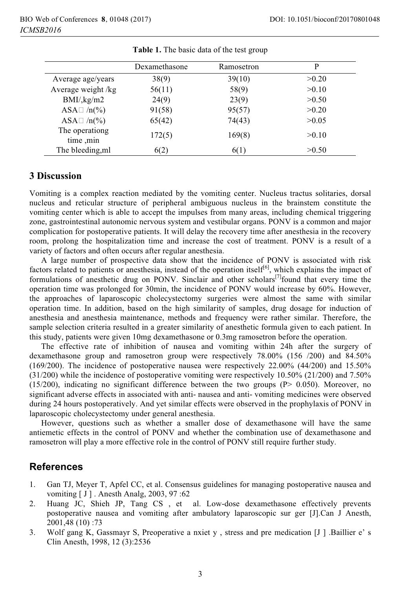|                             | Dexamethasone | Ramosetron | P     |
|-----------------------------|---------------|------------|-------|
| Average age/years           | 38(9)         | 39(10)     | >0.20 |
| Average weight /kg          | 56(11)        | 58(9)      | >0.10 |
| BMI/kg/m2                   | 24(9)         | 23(9)      | >0.50 |
| ASA $\Box$ /n(%)            | 91(58)        | 95(57)     | >0.20 |
| ASA $\Box$ /n(%)            | 65(42)        | 74(43)     | >0.05 |
| The operationg<br>time, min | 172(5)        | 169(8)     | >0.10 |
| The bleeding, ml            | 6(2)          | 6(1)       | >0.50 |

**Table 1.** The basic data of the test group

#### **3 Discussion**

Vomiting is a complex reaction mediated by the vomiting center. Nucleus tractus solitaries, dorsal nucleus and reticular structure of peripheral ambiguous nucleus in the brainstem constitute the vomiting center which is able to accept the impulses from many areas, including chemical triggering zone, gastrointestinal autonomic nervous system and vestibular organs. PONV is a common and major complication for postoperative patients. It will delay the recovery time after anesthesia in the recovery room, prolong the hospitalization time and increase the cost of treatment. PONV is a result of a variety of factors and often occurs after regular anesthesia.

A large number of prospective data show that the incidence of PONV is associated with risk factors related to patients or anesthesia, instead of the operation itself<sup>[6]</sup>, which explains the impact of formulations of anesthetic drug on PONV. Sinclair and other scholars<sup>[7]</sup>found that every time the operation time was prolonged for 30min, the incidence of PONV would increase by 60%. However, the approaches of laparoscopic cholecystectomy surgeries were almost the same with similar operation time. In addition, based on the high similarity of samples, drug dosage for induction of anesthesia and anesthesia maintenance, methods and frequency were rather similar. Therefore, the sample selection criteria resulted in a greater similarity of anesthetic formula given to each patient. In this study, patients were given 10mg dexamethasone or 0.3mg ramosetron before the operation.

The effective rate of inhibition of nausea and vomiting within 24h after the surgery of dexamethasone group and ramosetron group were respectively 78.00% (156 /200) and 84.50% (169/200). The incidence of postoperative nausea were respectively 22.00% (44/200) and 15.50% (31/200) while the incidence of postoperative vomiting were respectively 10.50% (21/200) and 7.50% (15/200), indicating no significant difference between the two groups (P> 0.050). Moreover, no significant adverse effects in associated with anti- nausea and anti- vomiting medicines were observed during 24 hours postoperatively. And yet similar effects were observed in the prophylaxis of PONV in laparoscopic cholecystectomy under general anesthesia.

However, questions such as whether a smaller dose of dexamethasone will have the same antiemetic effects in the control of PONV and whether the combination use of dexamethasone and ramosetron will play a more effective role in the control of PONV still require further study.

### **References**

- 1. Gan TJ, Meyer T, Apfel CC, et al. Consensus guidelines for managing postoperative nausea and vomiting [ J ] . Anesth Analg, 2003, 97 :62
- 2. Huang JC, Shieh JP, Tang CS , et al. Low-dose dexamethasone effectively prevents postoperative nausea and vomiting after ambulatory laparoscopic sur ger [J].Can J Anesth, 2001,48 (10) :73
- 3. Wolf gang K, Gassmayr S, Preoperative a nxiet y , stress and pre medication [J ] .Baillier e' s Clin Anesth, 1998, 12 (3):2536